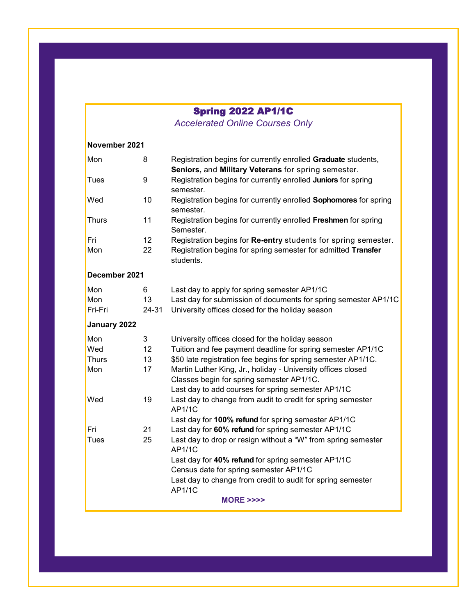## Spring 2022 AP1/1C

*Accelerated Online Courses Only* 

| November 2021                |       |                                                                                              |  |  |  |
|------------------------------|-------|----------------------------------------------------------------------------------------------|--|--|--|
| Mon                          | 8     | Registration begins for currently enrolled Graduate students,                                |  |  |  |
|                              |       | Seniors, and Military Veterans for spring semester.                                          |  |  |  |
| <b>Tues</b>                  | 9     | Registration begins for currently enrolled Juniors for spring<br>semester.                   |  |  |  |
| Wed                          | 10    | Registration begins for currently enrolled Sophomores for spring<br>semester.                |  |  |  |
| <b>Thurs</b>                 | 11    | Registration begins for currently enrolled Freshmen for spring<br>Semester.                  |  |  |  |
| Fri                          | 12    | Registration begins for Re-entry students for spring semester.                               |  |  |  |
| Mon                          | 22    | Registration begins for spring semester for admitted Transfer<br>students.                   |  |  |  |
| December 2021                |       |                                                                                              |  |  |  |
| Mon                          | 6     | Last day to apply for spring semester AP1/1C                                                 |  |  |  |
| Mon                          | 13    | Last day for submission of documents for spring semester AP1/1C                              |  |  |  |
| Fri-Fri                      | 24-31 | University offices closed for the holiday season                                             |  |  |  |
| January 2022                 |       |                                                                                              |  |  |  |
| Mon                          | 3     | University offices closed for the holiday season                                             |  |  |  |
| Wed                          | 12    | Tuition and fee payment deadline for spring semester AP1/1C                                  |  |  |  |
| <b>Thurs</b>                 | 13    | \$50 late registration fee begins for spring semester AP1/1C.                                |  |  |  |
| Mon                          | 17    | Martin Luther King, Jr., holiday - University offices closed                                 |  |  |  |
|                              |       | Classes begin for spring semester AP1/1C.                                                    |  |  |  |
|                              |       | Last day to add courses for spring semester AP1/1C                                           |  |  |  |
| Wed                          | 19    | Last day to change from audit to credit for spring semester<br>AP1/1C                        |  |  |  |
|                              |       | Last day for 100% refund for spring semester AP1/1C                                          |  |  |  |
| Fri                          | 21    | Last day for 60% refund for spring semester AP1/1C                                           |  |  |  |
| Tues                         | 25    | Last day to drop or resign without a "W" from spring semester<br><b>AP1/1C</b>               |  |  |  |
|                              |       | Last day for 40% refund for spring semester AP1/1C<br>Census date for spring semester AP1/1C |  |  |  |
|                              |       | Last day to change from credit to audit for spring semester<br>AP1/1C                        |  |  |  |
| <b>MORE &gt;&gt;&gt;&gt;</b> |       |                                                                                              |  |  |  |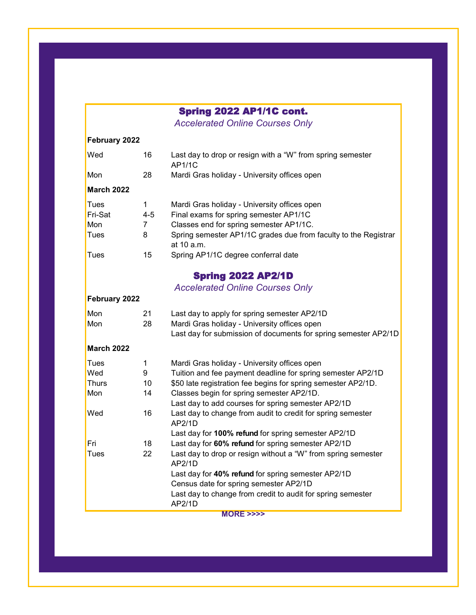## Spring 2022 AP1/1C cont.

*Accelerated Online Courses Only* 

| February 2022     |                |                                                                                                                 |
|-------------------|----------------|-----------------------------------------------------------------------------------------------------------------|
| Wed               | 16             | Last day to drop or resign with a "W" from spring semester<br>AP1/1C                                            |
| Mon               | 28             | Mardi Gras holiday - University offices open                                                                    |
| <b>March 2022</b> |                |                                                                                                                 |
| <b>Tues</b>       | 1              | Mardi Gras holiday - University offices open                                                                    |
| Fri-Sat           | $4 - 5$        | Final exams for spring semester AP1/1C                                                                          |
| Mon               | $\overline{7}$ | Classes end for spring semester AP1/1C.                                                                         |
| Tues              | 8              | Spring semester AP1/1C grades due from faculty to the Registrar<br>at 10 a.m.                                   |
| <b>Tues</b>       | 15             | Spring AP1/1C degree conferral date                                                                             |
|                   |                | <b>Spring 2022 AP2/1D</b>                                                                                       |
|                   |                | <b>Accelerated Online Courses Only</b>                                                                          |
| February 2022     |                |                                                                                                                 |
| Mon               | 21             | Last day to apply for spring semester AP2/1D                                                                    |
| Mon               | 28             | Mardi Gras holiday - University offices open<br>Last day for submission of documents for spring semester AP2/1D |
| <b>March 2022</b> |                |                                                                                                                 |
| Tues              | 1              | Mardi Gras holiday - University offices open                                                                    |
| Wed               | 9              | Tuition and fee payment deadline for spring semester AP2/1D                                                     |
| Thurs             | 10             | \$50 late registration fee begins for spring semester AP2/1D.                                                   |
| Mon               | 14             | Classes begin for spring semester AP2/1D.                                                                       |
|                   |                | Last day to add courses for spring semester AP2/1D                                                              |
| Wed               | 16             | Last day to change from audit to credit for spring semester<br>AP2/1D                                           |
|                   |                | Last day for 100% refund for spring semester AP2/1D                                                             |
| Fri               | 18             | Last day for 60% refund for spring semester AP2/1D                                                              |
| Tues              | 22             | Last day to drop or resign without a "W" from spring semester<br>AP2/1D                                         |
|                   |                | Last day for 40% refund for spring semester AP2/1D                                                              |
|                   |                | Census date for spring semester AP2/1D                                                                          |
|                   |                | Last day to change from credit to audit for spring semester<br>AP2/1D                                           |

**MORE >>>>**